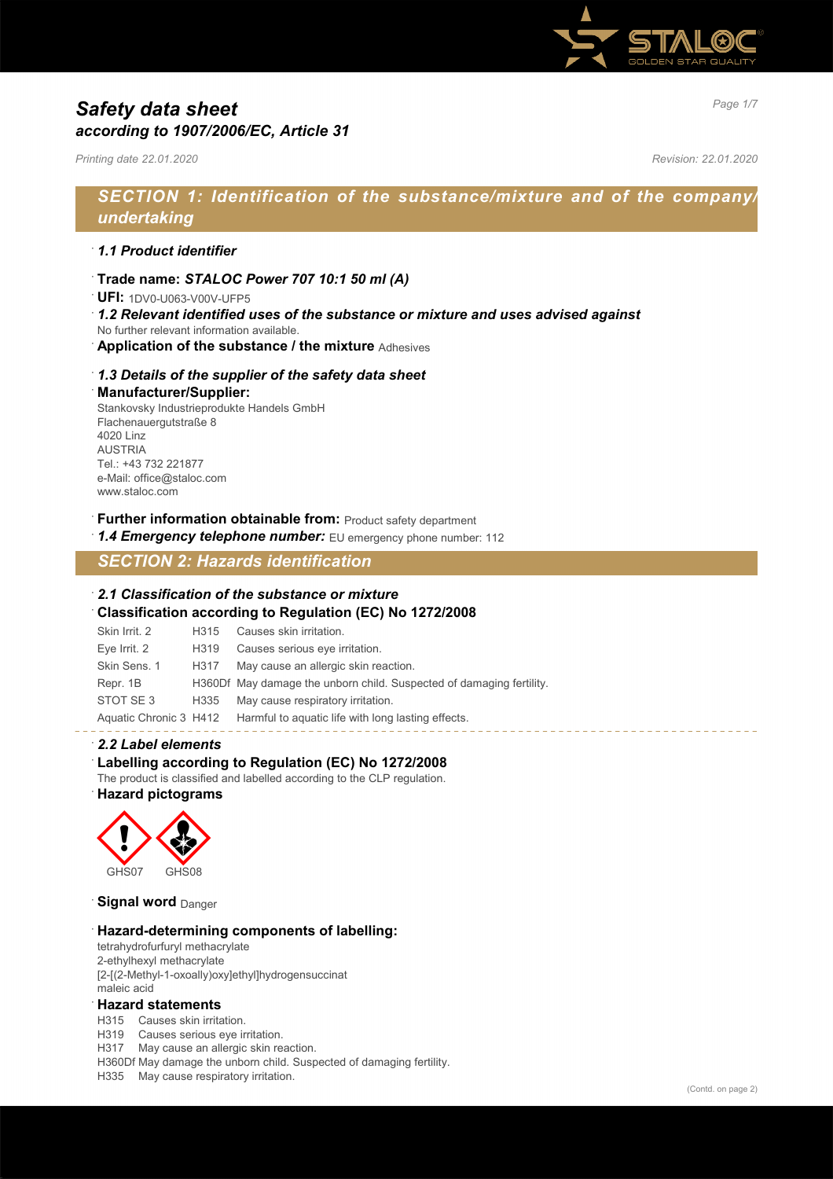

# *Page 1/7 Safety data sheet according to 1907/2006/EC, Article 31*

*Printing date 22.01.2020 Revision: 22.01.2020*

# *SECTION 1: Identification of the substance/mixture and of the company/ undertaking*

## · *1.1 Product identifier*

· **Trade name:** *STALOC Power 707 10:1 50 ml (A)*

· **UFI:** 1DV0-U063-V00V-UFP5

- · *1.2 Relevant identified uses of the substance or mixture and uses advised against* No further relevant information available.
- · **Application of the substance / the mixture** Adhesives

## · *1.3 Details of the supplier of the safety data sheet* · **Manufacturer/Supplier:**

Stankovsky Industrieprodukte Handels GmbH Flachenauergutstraße 8 4020 Linz **ALISTRIA** Tel.: +43 732 221877 e-Mail: office@staloc.com www.staloc.com

**Further information obtainable from: Product safety department** 

1.4 **Emergency telephone number:** EU emergency phone number: 112

*SECTION 2: Hazards identification*

## · *2.1 Classification of the substance or mixture*

· **Classification according to Regulation (EC) No 1272/2008**

| Skin Irrit. 2 | H <sub>315</sub> | Causes skin irritation.                                                   |
|---------------|------------------|---------------------------------------------------------------------------|
| Eye Irrit. 2  | H319             | Causes serious eye irritation.                                            |
| Skin Sens, 1  | H317             | May cause an allergic skin reaction.                                      |
| Repr. 1B      |                  | H360Df May damage the unborn child. Suspected of damaging fertility.      |
| STOT SE3      |                  | H335 May cause respiratory irritation.                                    |
|               |                  | Aquatic Chronic 3 H412 Harmful to aquatic life with long lasting effects. |

### · *2.2 Label elements*

### Labelling according to Regulation (EC) No 1272/2008

The product is classified and labelled according to the CLP regulation.

· **Hazard pictograms**



**Signal word** Danger

### · **Hazard-determining components of labelling:**

tetrahydrofurfuryl methacrylate 2-ethylhexyl methacrylate [2-[(2-Methyl-1-oxoally)oxy]ethyl]hydrogensuccinat maleic acid

#### · **Hazard statements**

H315 Causes skin irritation.

H319 Causes serious eye irritation.

H317 May cause an allergic skin reaction.

H360Df May damage the unborn child. Suspected of damaging fertility.

H335 May cause respiratory irritation.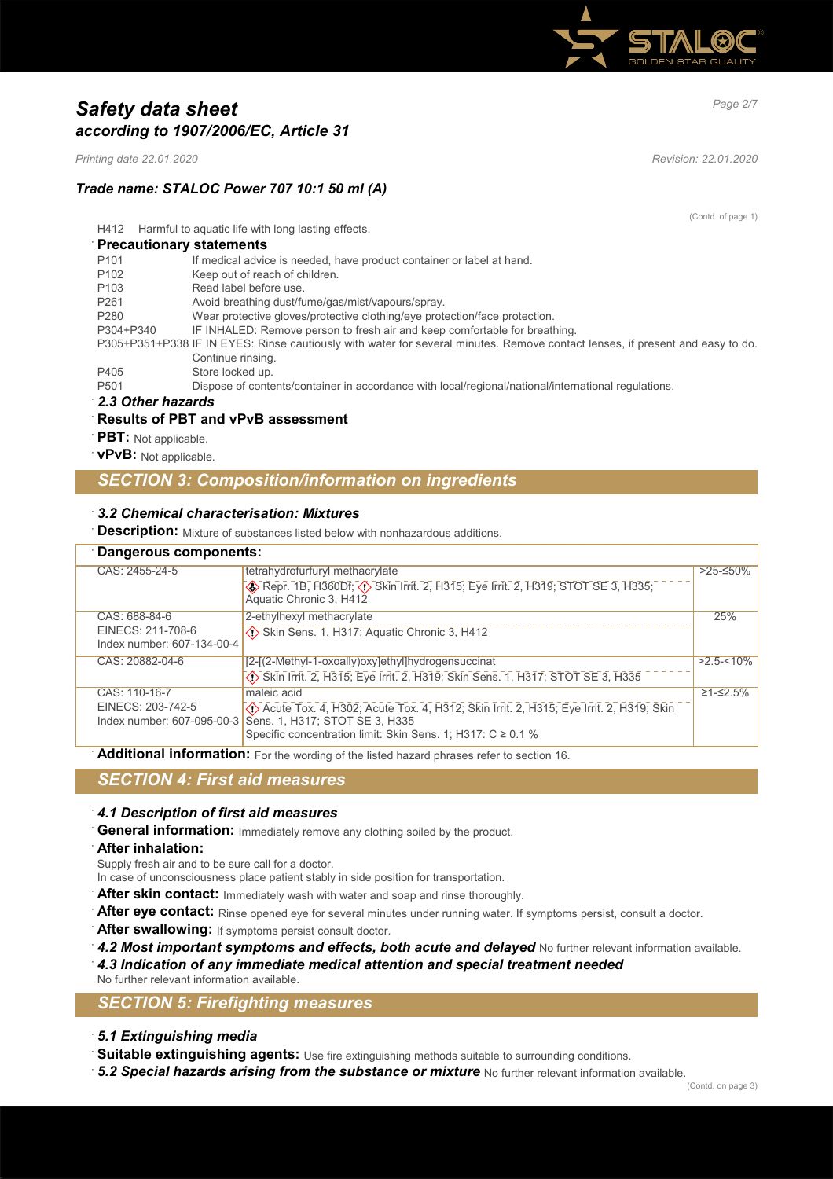

# *Page 2/7 Safety data sheet according to 1907/2006/EC, Article 31*

*Printing date 22.01.2020 Revision: 22.01.2020*

# *Trade name: STALOC Power 707 10:1 50 ml (A)*

(Contd. of page 1)

H412 Harmful to aquatic life with long lasting effects.

## · **Precautionary statements**

| P <sub>101</sub> | If medical advice is needed, have product container or label at hand.                                                         |
|------------------|-------------------------------------------------------------------------------------------------------------------------------|
| P <sub>102</sub> | Keep out of reach of children.                                                                                                |
| P <sub>103</sub> | Read label before use.                                                                                                        |
| P <sub>261</sub> | Avoid breathing dust/fume/gas/mist/vapours/spray.                                                                             |
| P <sub>280</sub> | Wear protective gloves/protective clothing/eye protection/face protection.                                                    |
| P304+P340        | IF INHALED: Remove person to fresh air and keep comfortable for breathing.                                                    |
|                  | P305+P351+P338 IF IN EYES: Rinse cautiously with water for several minutes. Remove contact lenses, if present and easy to do. |
|                  | Continue rinsing.                                                                                                             |
| P405             | Store locked up.                                                                                                              |
| P <sub>501</sub> | Dispose of contents/container in accordance with local/regional/national/international regulations.                           |
| 22 Other hozarde |                                                                                                                               |

### · *2.3 Other hazards*

## · **Results of PBT and vPvB assessment**

- **PBT**: Not applicable.
- · **vPvB:** Not applicable.

## *SECTION 3: Composition/information on ingredients*

## · *3.2 Chemical characterisation: Mixtures*

**Description:** Mixture of substances listed below with nonhazardous additions.

|                            | Dangerous components:                                                                                      |               |  |
|----------------------------|------------------------------------------------------------------------------------------------------------|---------------|--|
| CAS: 2455-24-5             | tetrahydrofurfuryl methacrylate                                                                            | $>25$ -≤50%   |  |
|                            | <b>DEPTED AT AUTHOR CONTAINS AND THE SET OF STARK OF STARK STOT SE 3, H335,</b><br>Aquatic Chronic 3, H412 |               |  |
| CAS: 688-84-6              | 2-ethylhexyl methacrylate                                                                                  | 25%           |  |
| EINECS: 211-708-6          | Skin Sens. 1, H317; Aquatic Chronic 3, H412                                                                |               |  |
| Index number: 607-134-00-4 |                                                                                                            |               |  |
| CAS: 20882-04-6            | [2-[(2-Methyl-1-oxoally)oxy]ethyl]hydrogensuccinat                                                         | $>2.5 - 10\%$ |  |
|                            | Skin Irrit. 2, H315; Eye Irrit. 2, H319; Skin Sens. 1, H317; STOT SE 3, H335                               |               |  |
| CAS: 110-16-7              | maleic acid                                                                                                | $≥1-S2.5%$    |  |
| EINECS: 203-742-5          | (1) Acute Tox. 4, H302; Acute Tox. 4, H312; Skin Irrit. 2, H315; Eye Irrit. 2, H319; Skin                  |               |  |
|                            | Index number: 607-095-00-3 Sens. 1, H317; STOT SE 3, H335                                                  |               |  |
|                            | Specific concentration limit: Skin Sens. 1; H317: $C \ge 0.1$ %                                            |               |  |

Additional information: For the wording of the listed hazard phrases refer to section 16.

# *SECTION 4: First aid measures*

### · *4.1 Description of first aid measures*

**General information:** Immediately remove any clothing soiled by the product.

### · **After inhalation:**

Supply fresh air and to be sure call for a doctor.

- In case of unconsciousness place patient stably in side position for transportation.
- After skin contact: Immediately wash with water and soap and rinse thoroughly.
- After eye contact: Rinse opened eye for several minutes under running water. If symptoms persist, consult a doctor.
- After swallowing: If symptoms persist consult doctor.
- 4.2 Most important symptoms and effects, both acute and delayed No further relevant information available.
- · *4.3 Indication of any immediate medical attention and special treatment needed*
- No further relevant information available.

# *SECTION 5: Firefighting measures*

- · *5.1 Extinguishing media*
- Suitable extinguishing agents: Use fire extinguishing methods suitable to surrounding conditions.
- · *5.2 Special hazards arising from the substance or mixture* No further relevant information available.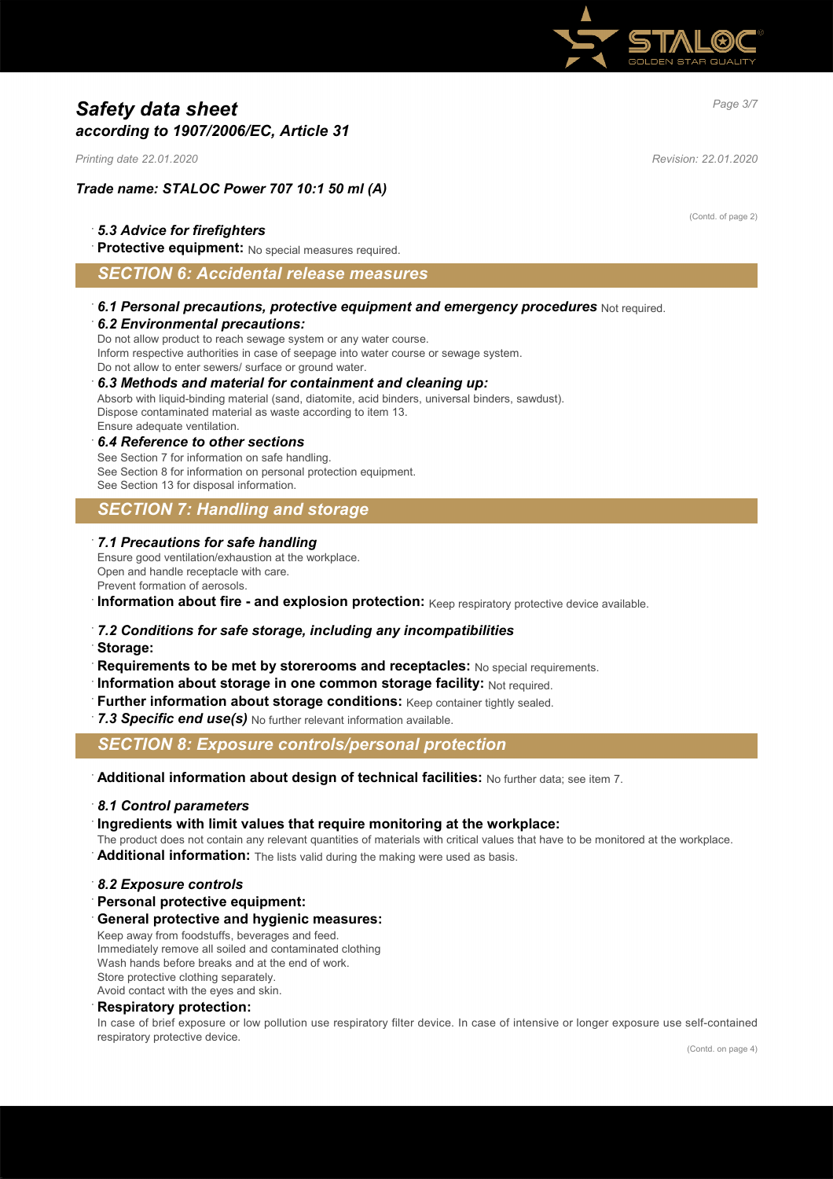

# *Page 3/7 Safety data sheet according to 1907/2006/EC, Article 31*

*Printing date 22.01.2020 Revision: 22.01.2020*

## *Trade name: STALOC Power 707 10:1 50 ml (A)*

## · *5.3 Advice for firefighters*

**Protective equipment:** No special measures required.

## *SECTION 6: Accidental release measures*

## · *6.1 Personal precautions, protective equipment and emergency procedures* Not required. · *6.2 Environmental precautions:*

Do not allow product to reach sewage system or any water course. Inform respective authorities in case of seepage into water course or sewage system. Do not allow to enter sewers/ surface or ground water.

### · *6.3 Methods and material for containment and cleaning up:*

Absorb with liquid-binding material (sand, diatomite, acid binders, universal binders, sawdust). Dispose contaminated material as waste according to item 13. Ensure adequate ventilation.

#### · *6.4 Reference to other sections*

See Section 7 for information on safe handling. See Section 8 for information on personal protection equipment. See Section 13 for disposal information.

# *SECTION 7: Handling and storage*

#### · *7.1 Precautions for safe handling*

Ensure good ventilation/exhaustion at the workplace. Open and handle receptacle with care. Prevent formation of aerosols.

**Information about fire - and explosion protection:** Keep respiratory protective device available.

### · *7.2 Conditions for safe storage, including any incompatibilities*

- · **Storage:**
- · **Requirements to be met by storerooms and receptacles:** No special requirements.
- · **Information about storage in one common storage facility:** Not required.
- **Further information about storage conditions: Keep container tightly sealed.**

7.3 Specific end use(s) No further relevant information available.

## *SECTION 8: Exposure controls/personal protection*

· **Additional information about design of technical facilities:** No further data; see item 7.

### · *8.1 Control parameters*

· **Ingredients with limit values that require monitoring at the workplace:**

The product does not contain any relevant quantities of materials with critical values that have to be monitored at the workplace.

Additional information: The lists valid during the making were used as basis.

### · *8.2 Exposure controls*

#### · **Personal protective equipment:**

· **General protective and hygienic measures:**

Keep away from foodstuffs, beverages and feed. Immediately remove all soiled and contaminated clothing Wash hands before breaks and at the end of work. Store protective clothing separately.

Avoid contact with the eyes and skin.

#### · **Respiratory protection:**

In case of brief exposure or low pollution use respiratory filter device. In case of intensive or longer exposure use self-contained respiratory protective device.

(Contd. of page 2)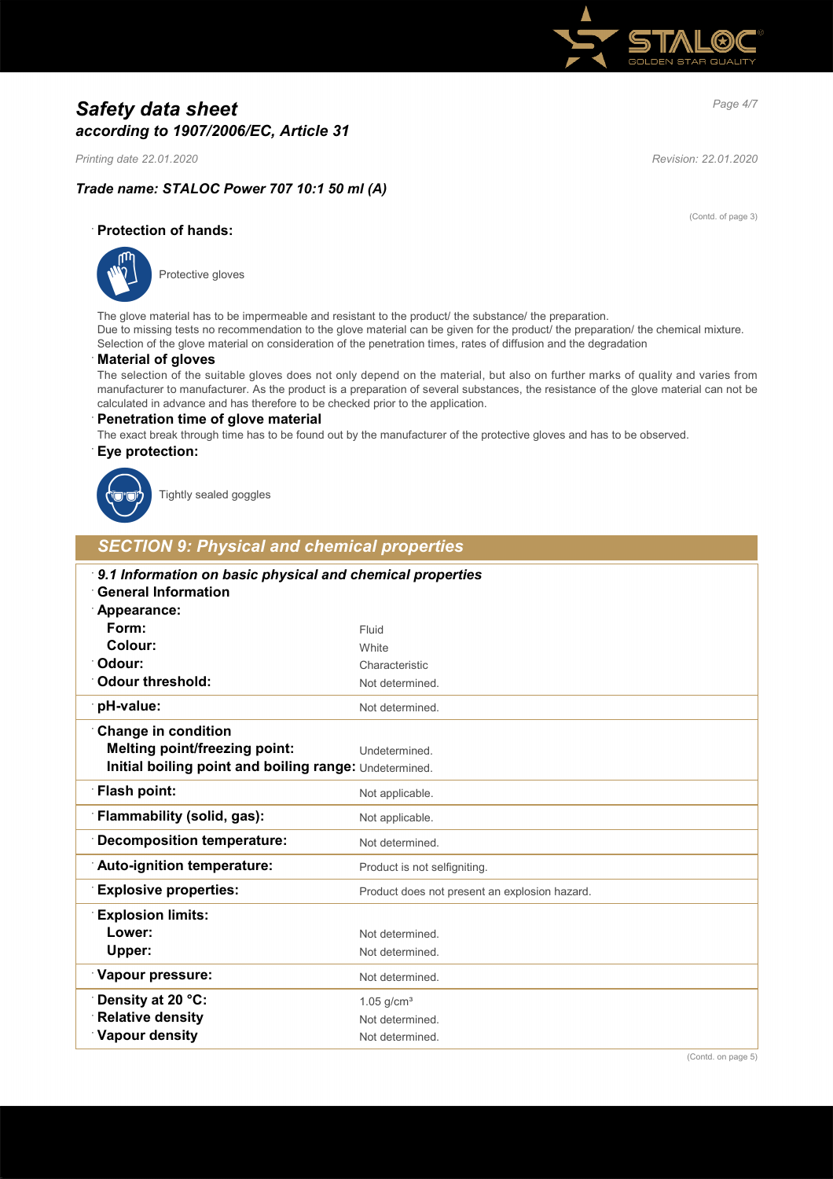

# *Page 4/7 Safety data sheet according to 1907/2006/EC, Article 31*

*Printing date 22.01.2020 Revision: 22.01.2020*

(Contd. of page 3)

# *Trade name: STALOC Power 707 10:1 50 ml (A)*

· **Protection of hands:**



Protective gloves

The glove material has to be impermeable and resistant to the product/ the substance/ the preparation. Due to missing tests no recommendation to the glove material can be given for the product/ the preparation/ the chemical mixture. Selection of the glove material on consideration of the penetration times, rates of diffusion and the degradation

## · **Material of gloves**

The selection of the suitable gloves does not only depend on the material, but also on further marks of quality and varies from manufacturer to manufacturer. As the product is a preparation of several substances, the resistance of the glove material can not be calculated in advance and has therefore to be checked prior to the application.

### · **Penetration time of glove material**

The exact break through time has to be found out by the manufacturer of the protective gloves and has to be observed.

## · **Eye protection:**



Tightly sealed goggles

# *SECTION 9: Physical and chemical properties*

| 9.1 Information on basic physical and chemical properties<br><b>General Information</b> |                                               |
|-----------------------------------------------------------------------------------------|-----------------------------------------------|
| Appearance:                                                                             |                                               |
| Form:                                                                                   | Fluid                                         |
| Colour:                                                                                 | White                                         |
| Odour:                                                                                  | Characteristic                                |
| Odour threshold:                                                                        | Not determined.                               |
| pH-value:                                                                               | Not determined.                               |
| <b>Change in condition</b>                                                              |                                               |
| <b>Melting point/freezing point:</b>                                                    | Undetermined.                                 |
| Initial boiling point and boiling range: Undetermined.                                  |                                               |
| Flash point:                                                                            | Not applicable.                               |
| Flammability (solid, gas):                                                              | Not applicable.                               |
| <b>Decomposition temperature:</b>                                                       | Not determined.                               |
| Auto-ignition temperature:                                                              | Product is not selfigniting.                  |
| <b>Explosive properties:</b>                                                            | Product does not present an explosion hazard. |
| <b>Explosion limits:</b>                                                                |                                               |
| Lower:                                                                                  | Not determined.                               |
| Upper:                                                                                  | Not determined.                               |
| <b>Vapour pressure:</b>                                                                 | Not determined.                               |
| Density at 20 °C:                                                                       | $1.05$ g/cm <sup>3</sup>                      |
| <b>Relative density</b>                                                                 | Not determined.                               |
| Vapour density                                                                          | Not determined.                               |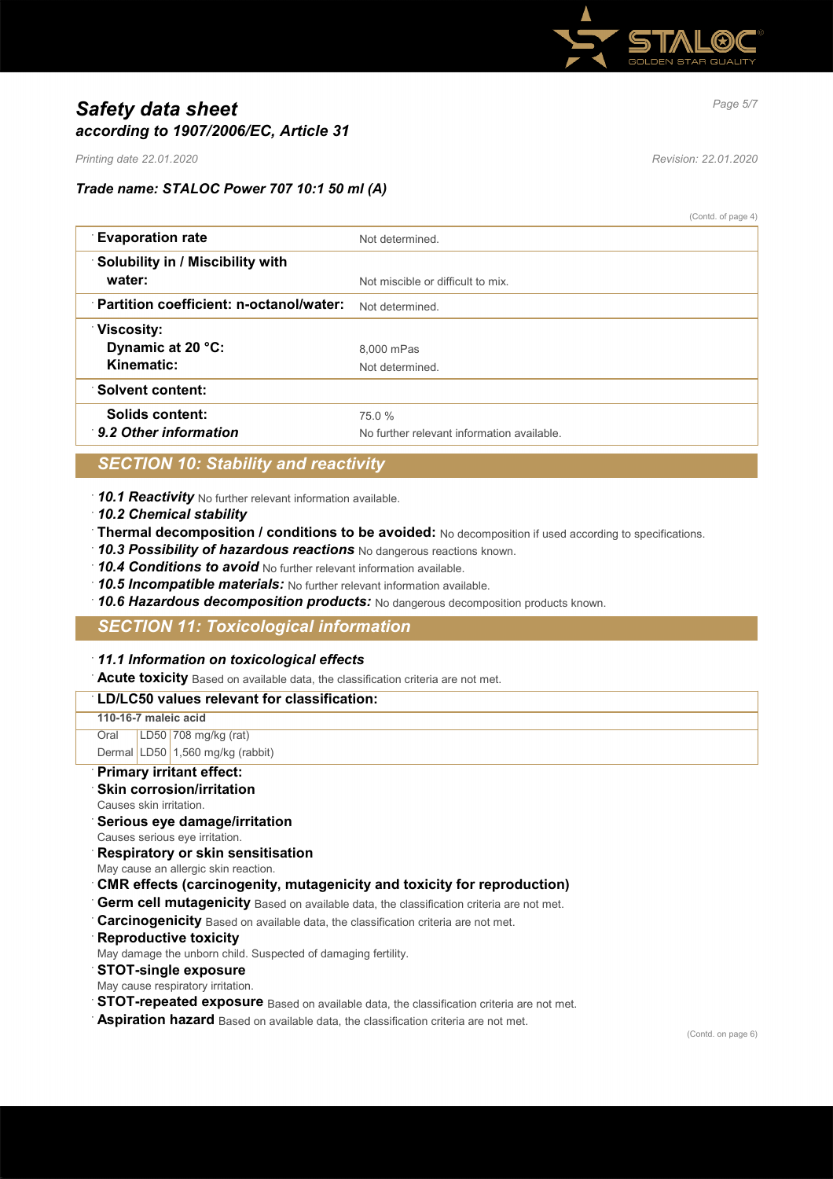

# *Page 5/7 Safety data sheet according to 1907/2006/EC, Article 31*

*Printing date 22.01.2020 Revision: 22.01.2020*

## *Trade name: STALOC Power 707 10:1 50 ml (A)*

(Contd. of page 4)

| <b>Evaporation rate</b>                    | Not determined.                            |
|--------------------------------------------|--------------------------------------------|
| Solubility in / Miscibility with<br>water: | Not miscible or difficult to mix.          |
|                                            |                                            |
| Partition coefficient: n-octanol/water:    | Not determined                             |
| <b>Viscosity:</b>                          |                                            |
| Dynamic at 20 °C:                          | 8.000 mPas                                 |
| Kinematic:                                 | Not determined.                            |
| ∵Solvent content:                          |                                            |
| Solids content:                            | 75.0 %                                     |
| 9.2 Other information                      | No further relevant information available. |

# *SECTION 10: Stability and reactivity*

· *10.1 Reactivity* No further relevant information available.

- · *10.2 Chemical stability*
- · **Thermal decomposition / conditions to be avoided:** No decomposition if used according to specifications.
- · *10.3 Possibility of hazardous reactions* No dangerous reactions known.
- · *10.4 Conditions to avoid* No further relevant information available.
- · *10.5 Incompatible materials:* No further relevant information available.
- · *10.6 Hazardous decomposition products:* No dangerous decomposition products known.

## *SECTION 11: Toxicological information*

## · *11.1 Information on toxicological effects*

· **Acute toxicity** Based on available data, the classification criteria are not met.

# · **LD/LC50 values relevant for classification:**

**110-16-7 maleic acid** Oral LD50 708 mg/kg (rat) Dermal LD50 1,560 mg/kg (rabbit)

### · **Primary irritant effect:**

- **Skin corrosion/irritation**
- Causes skin irritation.
- · **Serious eye damage/irritation**
- Causes serious eye irritation.
- · **Respiratory or skin sensitisation**
- May cause an allergic skin reaction.
- · **CMR effects (carcinogenity, mutagenicity and toxicity for reproduction)**
- **Germ cell mutagenicity** Based on available data, the classification criteria are not met.
- · **Carcinogenicity** Based on available data, the classification criteria are not met.
- **Reproductive toxicity**
- May damage the unborn child. Suspected of damaging fertility.
- · **STOT-single exposure**
- May cause respiratory irritation.
- **STOT-repeated exposure** Based on available data, the classification criteria are not met.
- **Aspiration hazard** Based on available data, the classification criteria are not met.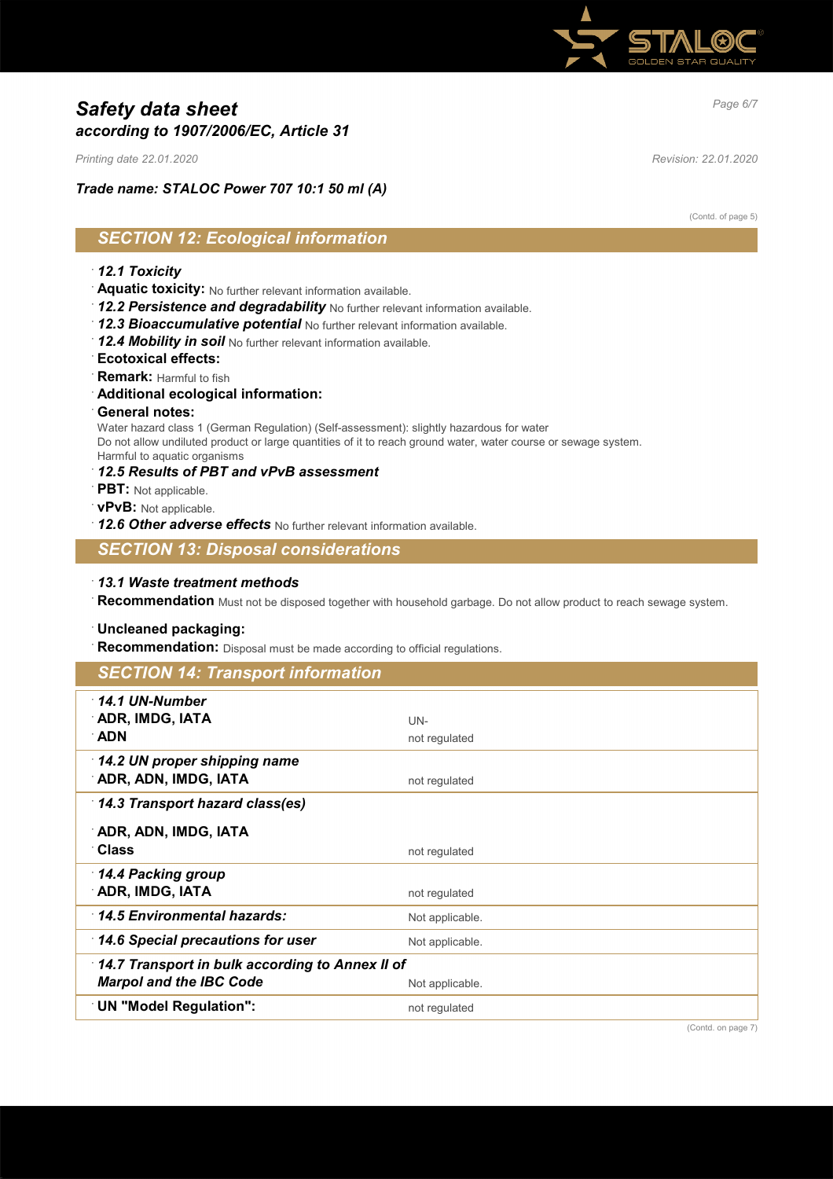

# *Page 6/7 Safety data sheet according to 1907/2006/EC, Article 31*

*Printing date 22.01.2020 Revision: 22.01.2020*

*Trade name: STALOC Power 707 10:1 50 ml (A)*

(Contd. of page 5)

# *SECTION 12: Ecological information*

## · *12.1 Toxicity*

- · **Aquatic toxicity:** No further relevant information available.
- · *12.2 Persistence and degradability* No further relevant information available.
- · *12.3 Bioaccumulative potential* No further relevant information available.
- · *12.4 Mobility in soil* No further relevant information available.
- · **Ecotoxical effects:**
- · **Remark:** Harmful to fish
- · **Additional ecological information:**
- · **General notes:**

Water hazard class 1 (German Regulation) (Self-assessment): slightly hazardous for water Do not allow undiluted product or large quantities of it to reach ground water, water course or sewage system. Harmful to aquatic organisms

- · *12.5 Results of PBT and vPvB assessment*
- · **PBT:** Not applicable.
- · **vPvB:** Not applicable.
- · *12.6 Other adverse effects* No further relevant information available.

# *SECTION 13: Disposal considerations*

· *13.1 Waste treatment methods*

· **Recommendation** Must not be disposed together with household garbage. Do not allow product to reach sewage system.

## · **Uncleaned packaging:**

· **Recommendation:** Disposal must be made according to official regulations.

| <b>SECTION 14: Transport information</b>        |                 |  |
|-------------------------------------------------|-----------------|--|
| $\cdot$ 14.1 UN-Number                          |                 |  |
| ADR, IMDG, IATA                                 | UN-             |  |
| ∴ADN                                            | not regulated   |  |
| 14.2 UN proper shipping name                    |                 |  |
| ∵ADR, ADN, IMDG, IATA                           | not regulated   |  |
| 14.3 Transport hazard class(es)                 |                 |  |
| ADR, ADN, IMDG, IATA                            |                 |  |
| ∵Class                                          | not regulated   |  |
| 14.4 Packing group                              |                 |  |
| ADR, IMDG, IATA                                 | not regulated   |  |
| 14.5 Environmental hazards:                     | Not applicable. |  |
| $\lceil$ 14.6 Special precautions for user      | Not applicable. |  |
| 14.7 Transport in bulk according to Annex II of |                 |  |
| <b>Marpol and the IBC Code</b>                  | Not applicable. |  |
| <b>UN "Model Regulation":</b>                   | not regulated   |  |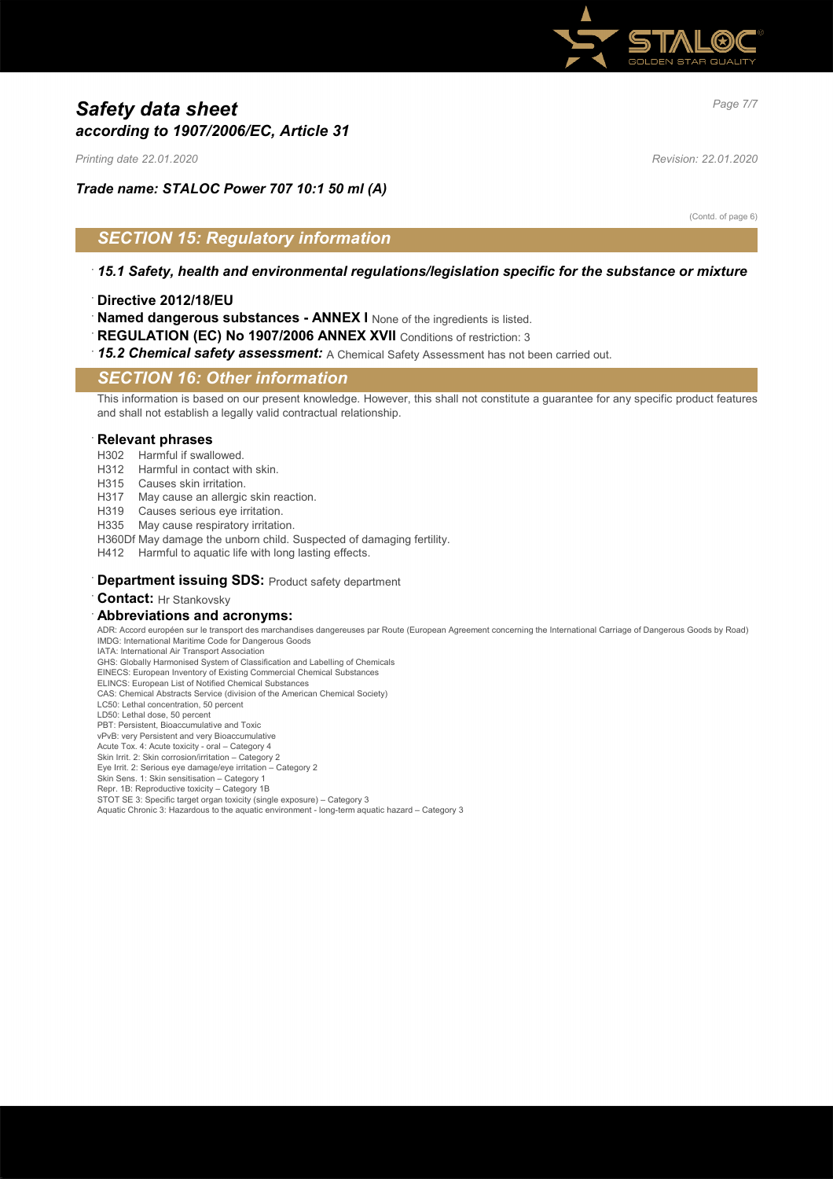

# *Page 7/7 Safety data sheet according to 1907/2006/EC, Article 31*

*Printing date 22.01.2020 Revision: 22.01.2020*

*Trade name: STALOC Power 707 10:1 50 ml (A)*

(Contd. of page 6)

# *SECTION 15: Regulatory information*

- · *15.1 Safety, health and environmental regulations/legislation specific for the substance or mixture*
- · **Directive 2012/18/EU**
- · **Named dangerous substances ANNEX I** None of the ingredients is listed.
- · **REGULATION (EC) No 1907/2006 ANNEX XVII** Conditions of restriction: 3
- · *15.2 Chemical safety assessment:* A Chemical Safety Assessment has not been carried out.

## *SECTION 16: Other information*

This information is based on our present knowledge. However, this shall not constitute a guarantee for any specific product features and shall not establish a legally valid contractual relationship.

#### · **Relevant phrases**

- H302 Harmful if swallowed.
- H312 Harmful in contact with skin.
- H315 Causes skin irritation.
- H317 May cause an allergic skin reaction.
- H319 Causes serious eye irritation.
- H335 May cause respiratory irritation.
- H360Df May damage the unborn child. Suspected of damaging fertility.
- H412 Harmful to aquatic life with long lasting effects.

#### **Department issuing SDS: Product safety department**

**Contact:** Hr Stankovsky

#### · **Abbreviations and acronyms:**

ADR: Accord européen sur le transport des marchandises dangereuses par Route (European Agreement concerning the International Carriage of Dangerous Goods by Road) IMDG: International Maritime Code for Dangerous Goods IATA: International Air Transport Association

GHS: Globally Harmonised System of Classification and Labelling of Chemicals

EINECS: European Inventory of Existing Commercial Chemical Substances

ELINCS: European List of Notified Chemical Substances

CAS: Chemical Abstracts Service (division of the American Chemical Society)

- LC50: Lethal concentration, 50 percent
- LD50: Lethal dose, 50 percent PBT: Persistent, Bioaccumulative and Toxic
- vPvB: very Persistent and very Bioaccumulative
- Acute Tox. 4: Acute toxicity oral Category 4
- Skin Irrit. 2: Skin corrosion/irritation Category 2
- Eye Irrit. 2: Serious eye damage/eye irritation Category 2 Skin Sens. 1: Skin sensitisation – Category 1
- Repr. 1B: Reproductive toxicity Category 1B
- STOT SE 3: Specific target organ toxicity (single exposure) Category 3
- Aquatic Chronic 3: Hazardous to the aquatic environment long-term aquatic hazard Category 3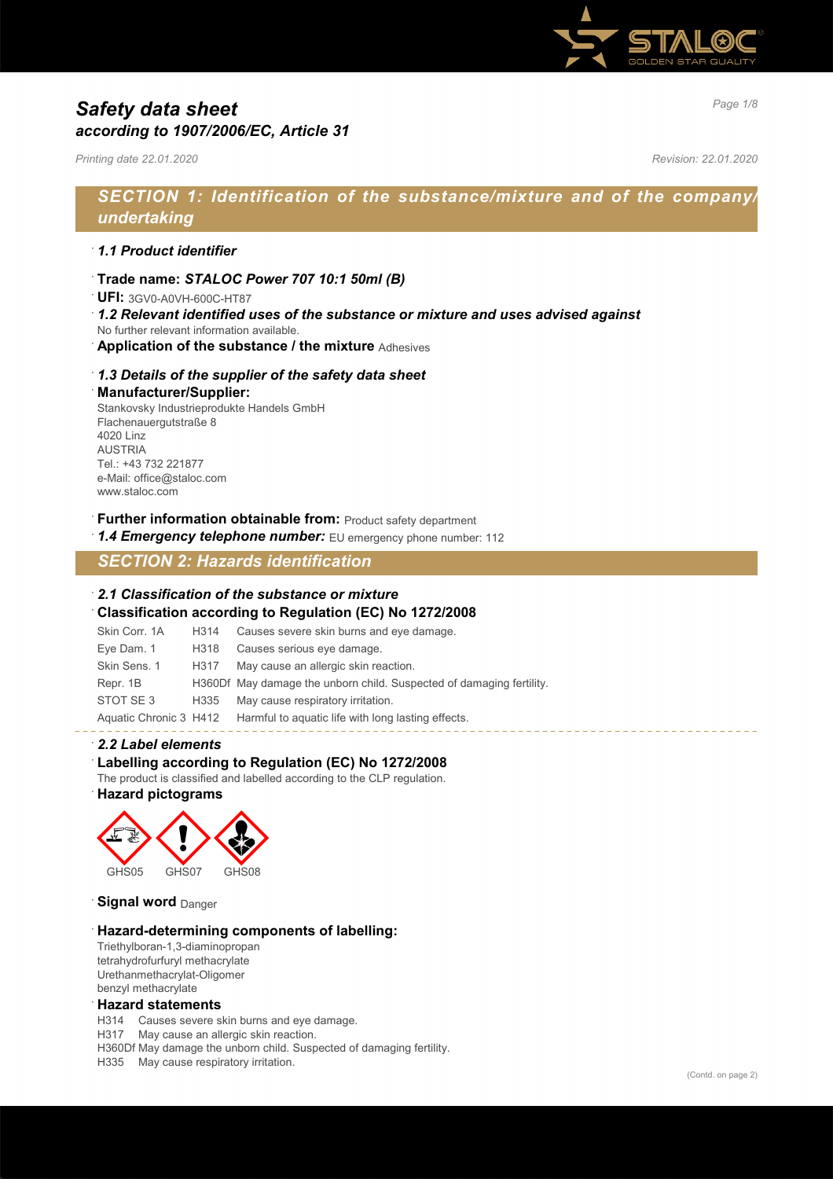

# *Page 1/8 Safety data sheet according to 1907/2006/EC, Article 31*

*Printing date 22.01.2020 Revision: 22.01.2020*

# *SECTION 1: Identification of the substance/mixture and of the company/ undertaking*

## · *1.1 Product identifier*

· **Trade name:** *STALOC Power 707 10:1 50ml (B)*

· **UFI:** 3GV0-A0VH-600C-HT87

- · *1.2 Relevant identified uses of the substance or mixture and uses advised against* No further relevant information available.
- · **Application of the substance / the mixture** Adhesives

## · *1.3 Details of the supplier of the safety data sheet* · **Manufacturer/Supplier:**

Stankovsky Industrieprodukte Handels GmbH Flachenauergutstraße 8 4020 Linz **ALISTRIA** Tel.: +43 732 221877 e-Mail: office@staloc.com www.staloc.com

**Further information obtainable from: Product safety department** 

1.4 **Emergency telephone number:** EU emergency phone number: 112

*SECTION 2: Hazards identification*

#### · *2.1 Classification of the substance or mixture* · **Classification according to Regulation (EC) No 1272/2008**

|               |      | Classification according to Regulation (LO) NO 1212/2000                  |
|---------------|------|---------------------------------------------------------------------------|
| Skin Corr, 1A | H314 | Causes severe skin burns and eye damage.                                  |
| Eye Dam. 1    | H318 | Causes serious eye damage.                                                |
| Skin Sens, 1  | H317 | May cause an allergic skin reaction.                                      |
| Repr. 1B      |      | H360Df May damage the unborn child. Suspected of damaging fertility.      |
| STOT SE3      | H335 | May cause respiratory irritation.                                         |
|               |      | Aquatic Chronic 3 H412 Harmful to aquatic life with long lasting effects. |

### · *2.2 Label elements*

### Labelling according to Regulation (EC) No 1272/2008

The product is classified and labelled according to the CLP regulation.

· **Hazard pictograms**



**Signal word** Danger

### · **Hazard-determining components of labelling:**

Triethylboran-1,3-diaminopropan tetrahydrofurfuryl methacrylate Urethanmethacrylat-Oligomer benzyl methacrylate

### · **Hazard statements**

H314 Causes severe skin burns and eye damage.

H317 May cause an allergic skin reaction.

H360Df May damage the unborn child. Suspected of damaging fertility.

H335 May cause respiratory irritation.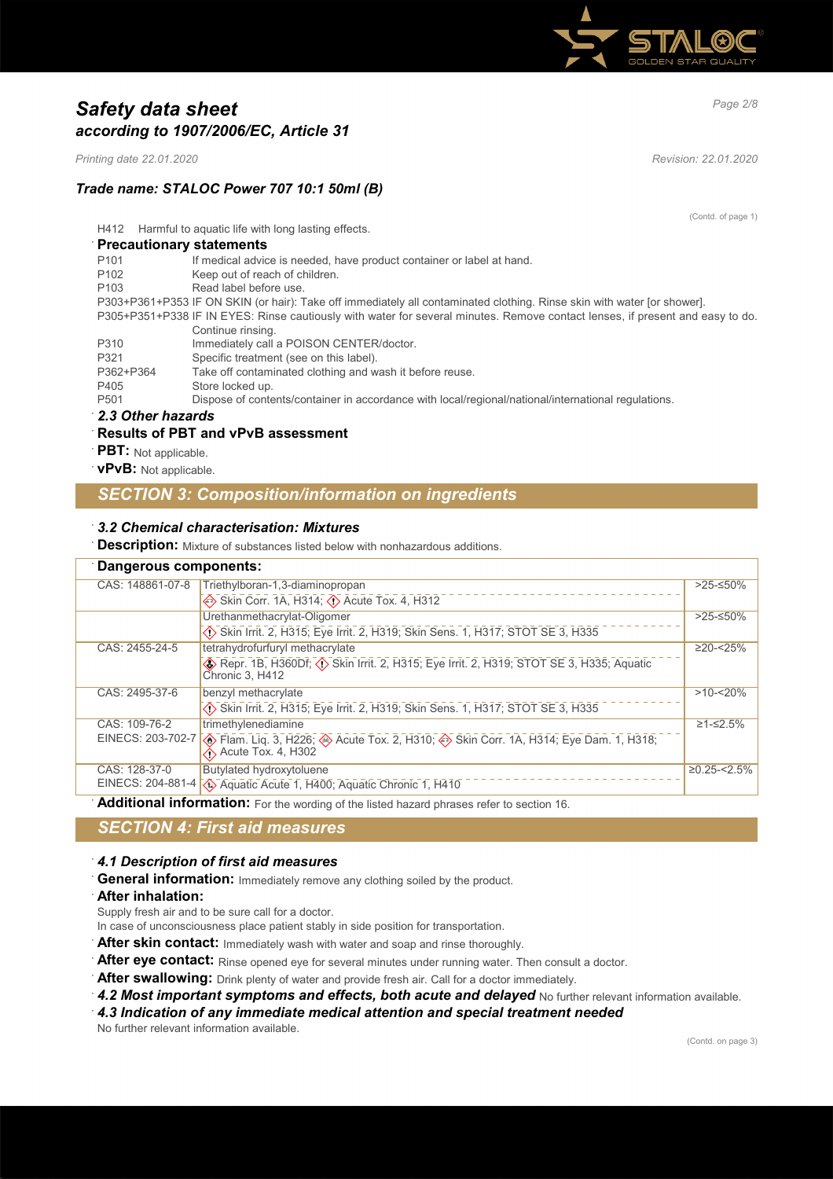

# *Page 2/8 Safety data sheet according to 1907/2006/EC, Article 31*

*Printing date 22.01.2020 Revision: 22.01.2020*

# *Trade name: STALOC Power 707 10:1 50ml (B)*

(Contd. of page 1)

H412 Harmful to aquatic life with long lasting effects.

|  |  |  |  |  |  | <b>Precautionary statements</b> |  |
|--|--|--|--|--|--|---------------------------------|--|
|--|--|--|--|--|--|---------------------------------|--|

| P <sub>101</sub>                                 | If medical advice is needed, have product container or label at hand.                                                         |
|--------------------------------------------------|-------------------------------------------------------------------------------------------------------------------------------|
| P <sub>102</sub>                                 | Keep out of reach of children.                                                                                                |
| P <sub>103</sub>                                 | Read label before use.                                                                                                        |
|                                                  | P303+P361+P353 IF ON SKIN (or hair): Take off immediately all contaminated clothing. Rinse skin with water [or shower].       |
|                                                  | P305+P351+P338 IF IN EYES: Rinse cautiously with water for several minutes. Remove contact lenses, if present and easy to do. |
|                                                  | Continue rinsing.                                                                                                             |
| P310                                             | Immediately call a POISON CENTER/doctor.                                                                                      |
| P321                                             | Specific treatment (see on this label).                                                                                       |
| P362+P364                                        | Take off contaminated clothing and wash it before reuse.                                                                      |
| P405                                             | Store locked up.                                                                                                              |
| P <sub>501</sub>                                 | Dispose of contents/container in accordance with local/regional/national/international regulations.                           |
| $\sim$ $\sim$ $\sim$ $\sim$ $\sim$ $\sim$ $\sim$ |                                                                                                                               |

### · *2.3 Other hazards*

### · **Results of PBT and vPvB assessment**

- **PBT:** Not applicable.
- · **vPvB:** Not applicable.

# *SECTION 3: Composition/information on ingredients*

## · *3.2 Chemical characterisation: Mixtures*

**Description:** Mixture of substances listed below with nonhazardous additions.

|                  | Dangerous components:                                                                                      |                   |  |
|------------------|------------------------------------------------------------------------------------------------------------|-------------------|--|
| CAS: 148861-07-8 | Triethylboran-1,3-diaminopropan                                                                            | $>25-50\%$        |  |
|                  | Skin Corr. 1A, H314; $\overline{\langle}$ Acute Tox. 4, H312                                               |                   |  |
|                  | Urethanmethacrylat-Oligomer                                                                                | $>25-50\%$        |  |
|                  | Skin Irrit. 2, H315; Eye Irrit. 2, H319; Skin Sens. 1, H317; STOT SE 3, H335                               |                   |  |
| CAS: 2455-24-5   | tetrahydrofurfuryl methacrylate                                                                            | $\geq$ 20-<25%    |  |
|                  | Repr. 1B, H360Df; (1) Skin Irrit. 2, H315; Eye Irrit. 2, H319; STOT SE 3, H335; Aquatic<br>Chronic 3, H412 |                   |  |
| CAS: 2495-37-6   | benzyl methacrylate                                                                                        | $>10 - 20%$       |  |
|                  | Skin Irrit. 2, H315; Eye Irrit. 2, H319; Skin Sens. 1, H317; STOT SE 3, H335                               |                   |  |
| CAS: 109-76-2    | trimethylenediamine                                                                                        | $≥1 - ≤2.5%$      |  |
|                  | EINECS: 203-702-7 (A) Flam. Liq. 3, H226; 4 Acute Tox. 2, H310; 4 Skin Corr. 1A, H314; Eye Dam. 1, H318;   |                   |  |
|                  | $\leftrightarrow$ Acute Tox. 4, H302                                                                       |                   |  |
| CAS: 128-37-0    | Butylated hydroxytoluene                                                                                   | $≥0.25 - < 2.5\%$ |  |
|                  | EINECS: 204-881-4 (4) Aquatic Acute 1, H400; Aquatic Chronic 1, H410                                       |                   |  |

Additional information: For the wording of the listed hazard phrases refer to section 16.

# *SECTION 4: First aid measures*

## · *4.1 Description of first aid measures*

General information: Immediately remove any clothing soiled by the product.

### · **After inhalation:**

Supply fresh air and to be sure call for a doctor.

- In case of unconsciousness place patient stably in side position for transportation.
- After skin contact: Immediately wash with water and soap and rinse thoroughly.
- After eye contact: Rinse opened eye for several minutes under running water. Then consult a doctor.
- After swallowing: Drink plenty of water and provide fresh air. Call for a doctor immediately.
- 4.2 Most important symptoms and effects, both acute and delayed No further relevant information available.

· *4.3 Indication of any immediate medical attention and special treatment needed*

No further relevant information available.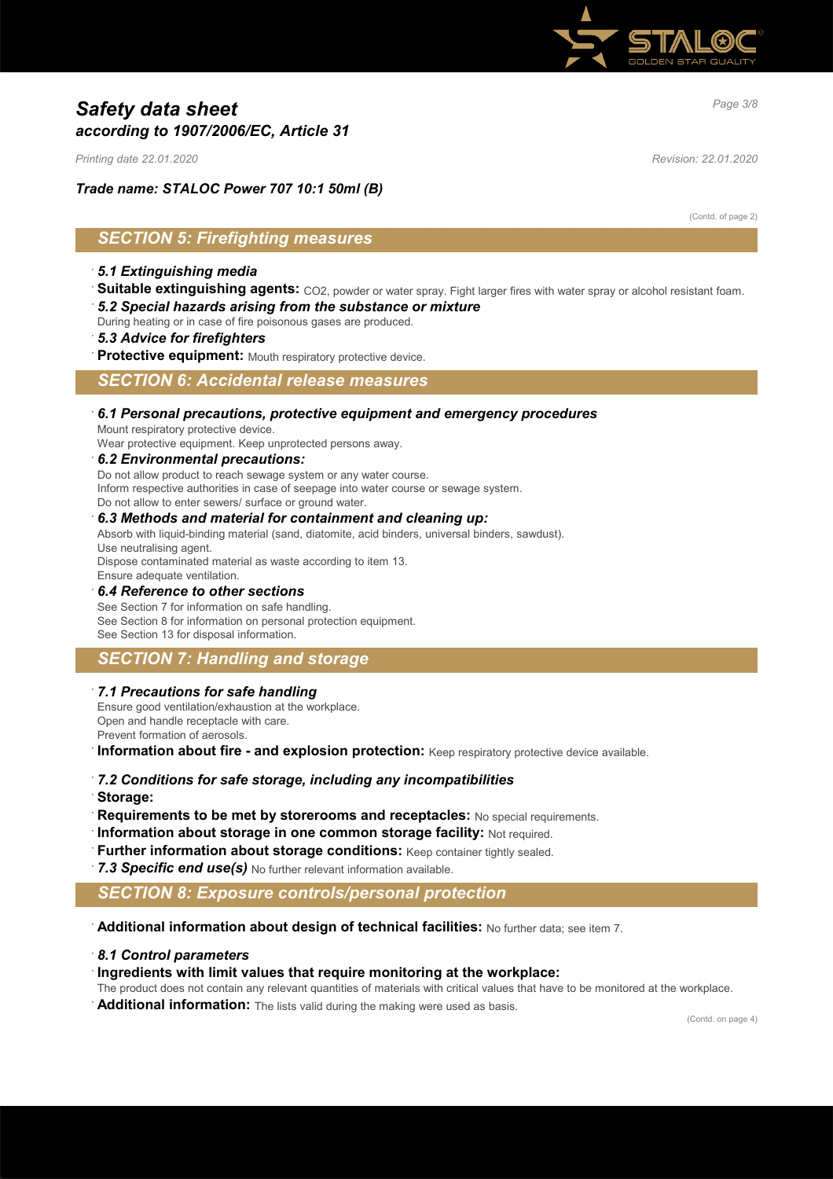

# *Page 3/8 Safety data sheet according to 1907/2006/EC, Article 31*

*Printing date 22.01.2020 Revision: 22.01.2020*

*Trade name: STALOC Power 707 10:1 50ml (B)*

(Contd. of page 2)

# *SECTION 5: Firefighting measures*

## · *5.1 Extinguishing media*

- · **Suitable extinguishing agents:** CO2, powder or water spray. Fight larger fires with water spray or alcohol resistant foam. · *5.2 Special hazards arising from the substance or mixture*
- During heating or in case of fire poisonous gases are produced.
- · *5.3 Advice for firefighters*
- Protective equipment: Mouth respiratory protective device.

*SECTION 6: Accidental release measures*

## · *6.1 Personal precautions, protective equipment and emergency procedures*

Mount respiratory protective device.

Wear protective equipment. Keep unprotected persons away.

### · *6.2 Environmental precautions:*

Do not allow product to reach sewage system or any water course.

Inform respective authorities in case of seepage into water course or sewage system.

Do not allow to enter sewers/ surface or ground water.

### · *6.3 Methods and material for containment and cleaning up:*

Absorb with liquid-binding material (sand, diatomite, acid binders, universal binders, sawdust).

Use neutralising agent.

Dispose contaminated material as waste according to item 13. Ensure adequate ventilation.

### · *6.4 Reference to other sections*

See Section 7 for information on safe handling. See Section 8 for information on personal protection equipment. See Section 13 for disposal information.

# *SECTION 7: Handling and storage*

### · *7.1 Precautions for safe handling*

Ensure good ventilation/exhaustion at the workplace. Open and handle receptacle with care. Prevent formation of aerosols.

**Information about fire - and explosion protection:** Keep respiratory protective device available.

## · *7.2 Conditions for safe storage, including any incompatibilities*

- · **Storage:**
- **Requirements to be met by storerooms and receptacles:** No special requirements.
- **Information about storage in one common storage facility: Not required.**
- **Further information about storage conditions:** Keep container tightly sealed.
- 7.3 Specific end use(s) No further relevant information available.

## *SECTION 8: Exposure controls/personal protection*

· **Additional information about design of technical facilities:** No further data; see item 7.

## · *8.1 Control parameters*

## · **Ingredients with limit values that require monitoring at the workplace:**

The product does not contain any relevant quantities of materials with critical values that have to be monitored at the workplace.

**Additional information:** The lists valid during the making were used as basis.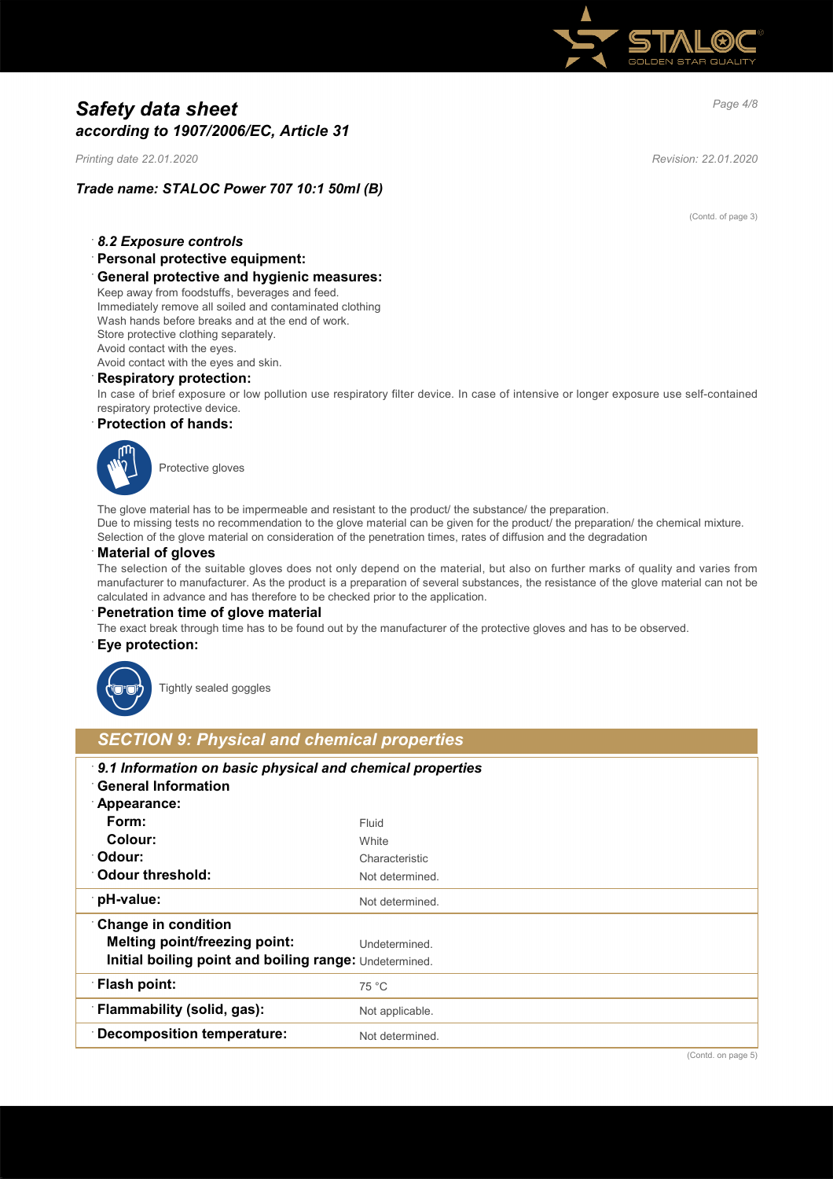

# *Page 4/8 Safety data sheet according to 1907/2006/EC, Article 31*

*Printing date 22.01.2020 Revision: 22.01.2020*

# *Trade name: STALOC Power 707 10:1 50ml (B)*

(Contd. of page 3)

## · *8.2 Exposure controls*

· **Personal protective equipment:**

### · **General protective and hygienic measures:**

Keep away from foodstuffs, beverages and feed. Immediately remove all soiled and contaminated clothing Wash hands before breaks and at the end of work. Store protective clothing separately. Avoid contact with the eyes. Avoid contact with the eyes and skin.

## · **Respiratory protection:**

In case of brief exposure or low pollution use respiratory filter device. In case of intensive or longer exposure use self-contained respiratory protective device.

### · **Protection of hands:**



Protective gloves

The glove material has to be impermeable and resistant to the product/ the substance/ the preparation. Due to missing tests no recommendation to the glove material can be given for the product/ the preparation/ the chemical mixture. Selection of the glove material on consideration of the penetration times, rates of diffusion and the degradation

### · **Material of gloves**

The selection of the suitable gloves does not only depend on the material, but also on further marks of quality and varies from manufacturer to manufacturer. As the product is a preparation of several substances, the resistance of the glove material can not be calculated in advance and has therefore to be checked prior to the application.

#### **Penetration time of glove material**

The exact break through time has to be found out by the manufacturer of the protective gloves and has to be observed.

#### · **Eye protection:**



Tightly sealed goggles

# *SECTION 9: Physical and chemical properties*

| 9.1 Information on basic physical and chemical properties<br><b>General Information</b><br>Appearance: |                 |
|--------------------------------------------------------------------------------------------------------|-----------------|
| Form:                                                                                                  | Fluid           |
|                                                                                                        |                 |
| Colour:                                                                                                | White           |
| ∵Odour:                                                                                                | Characteristic  |
| ∴Odour threshold:                                                                                      | Not determined. |
| ∵pH-value:                                                                                             | Not determined. |
| <b>Change in condition</b>                                                                             |                 |
| <b>Melting point/freezing point:</b>                                                                   | Undetermined.   |
| Initial boiling point and boiling range: Undetermined.                                                 |                 |
| <b>Flash point:</b>                                                                                    | 75 °C           |
| <b>Flammability (solid, gas):</b>                                                                      | Not applicable. |
| Decomposition temperature:                                                                             | Not determined. |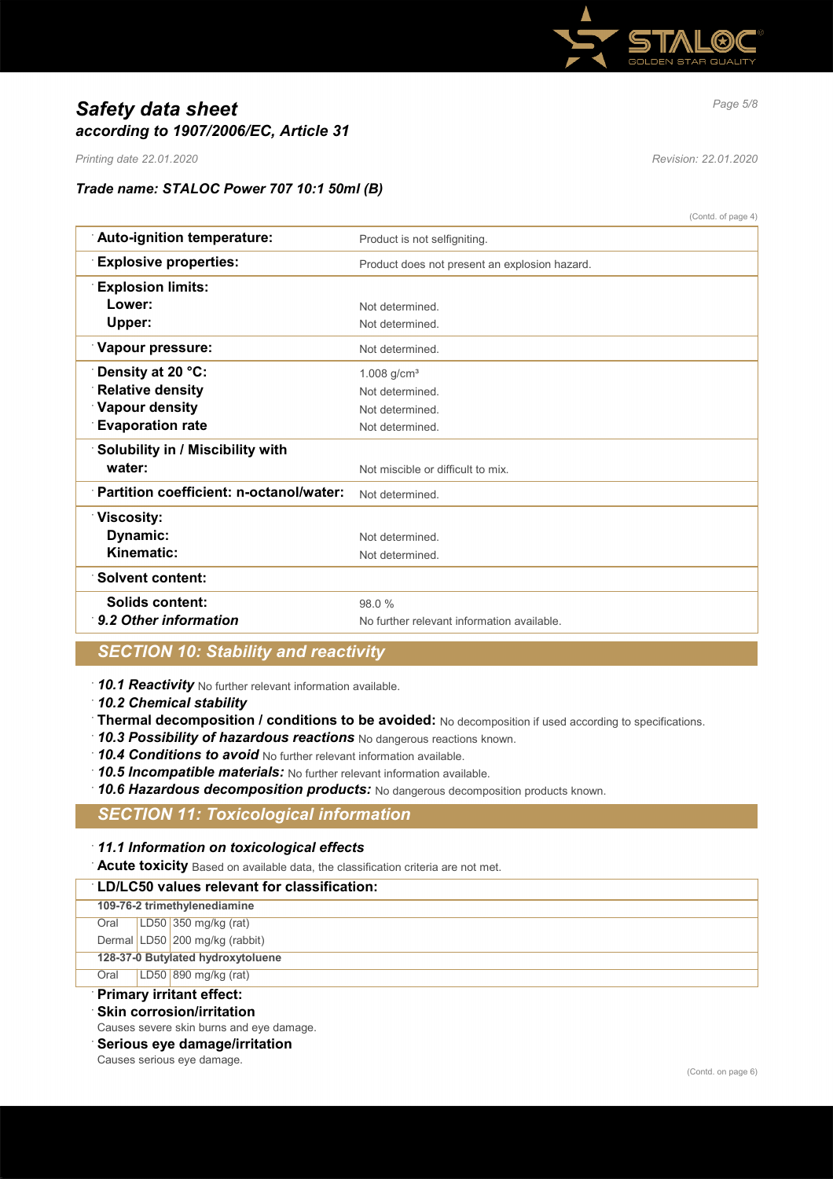

# *Page 5/8 Safety data sheet according to 1907/2006/EC, Article 31*

*Printing date 22.01.2020 Revision: 22.01.2020*

## *Trade name: STALOC Power 707 10:1 50ml (B)*

(Contd. of page 4)

| Auto-ignition temperature:<br>Product is not selfigniting.<br><b>Explosive properties:</b><br>Product does not present an explosion hazard.<br><b>Explosion limits:</b><br>Lower:<br>Not determined.<br>Upper:<br>Not determined.<br>Vapour pressure:<br>Not determined.<br>Density at 20 °C:<br>$1.008$ g/cm <sup>3</sup><br><b>Relative density</b><br>Not determined.<br><b>Vapour density</b><br>Not determined.<br><b>Evaporation rate</b><br>Not determined.<br>Solubility in / Miscibility with<br>water:<br>Not miscible or difficult to mix.<br>Partition coefficient: n-octanol/water:<br>Not determined.<br>Viscosity:<br>Dynamic:<br>Not determined. |            |  |
|------------------------------------------------------------------------------------------------------------------------------------------------------------------------------------------------------------------------------------------------------------------------------------------------------------------------------------------------------------------------------------------------------------------------------------------------------------------------------------------------------------------------------------------------------------------------------------------------------------------------------------------------------------------|------------|--|
|                                                                                                                                                                                                                                                                                                                                                                                                                                                                                                                                                                                                                                                                  |            |  |
|                                                                                                                                                                                                                                                                                                                                                                                                                                                                                                                                                                                                                                                                  |            |  |
|                                                                                                                                                                                                                                                                                                                                                                                                                                                                                                                                                                                                                                                                  |            |  |
|                                                                                                                                                                                                                                                                                                                                                                                                                                                                                                                                                                                                                                                                  |            |  |
|                                                                                                                                                                                                                                                                                                                                                                                                                                                                                                                                                                                                                                                                  |            |  |
|                                                                                                                                                                                                                                                                                                                                                                                                                                                                                                                                                                                                                                                                  |            |  |
|                                                                                                                                                                                                                                                                                                                                                                                                                                                                                                                                                                                                                                                                  |            |  |
|                                                                                                                                                                                                                                                                                                                                                                                                                                                                                                                                                                                                                                                                  |            |  |
|                                                                                                                                                                                                                                                                                                                                                                                                                                                                                                                                                                                                                                                                  |            |  |
|                                                                                                                                                                                                                                                                                                                                                                                                                                                                                                                                                                                                                                                                  |            |  |
|                                                                                                                                                                                                                                                                                                                                                                                                                                                                                                                                                                                                                                                                  |            |  |
|                                                                                                                                                                                                                                                                                                                                                                                                                                                                                                                                                                                                                                                                  |            |  |
|                                                                                                                                                                                                                                                                                                                                                                                                                                                                                                                                                                                                                                                                  |            |  |
|                                                                                                                                                                                                                                                                                                                                                                                                                                                                                                                                                                                                                                                                  |            |  |
|                                                                                                                                                                                                                                                                                                                                                                                                                                                                                                                                                                                                                                                                  |            |  |
| Not determined.                                                                                                                                                                                                                                                                                                                                                                                                                                                                                                                                                                                                                                                  | Kinematic: |  |
| <b>Solvent content:</b>                                                                                                                                                                                                                                                                                                                                                                                                                                                                                                                                                                                                                                          |            |  |
| Solids content:<br>98.0%                                                                                                                                                                                                                                                                                                                                                                                                                                                                                                                                                                                                                                         |            |  |
| 9.2 Other information<br>No further relevant information available.                                                                                                                                                                                                                                                                                                                                                                                                                                                                                                                                                                                              |            |  |

# *SECTION 10: Stability and reactivity*

· *10.1 Reactivity* No further relevant information available.

· *10.2 Chemical stability*

- · **Thermal decomposition / conditions to be avoided:** No decomposition if used according to specifications.
- · *10.3 Possibility of hazardous reactions* No dangerous reactions known.

· *10.4 Conditions to avoid* No further relevant information available.

· *10.5 Incompatible materials:* No further relevant information available.

· *10.6 Hazardous decomposition products:* No dangerous decomposition products known.

## *SECTION 11: Toxicological information*

### · *11.1 Information on toxicological effects*

· **Acute toxicity** Based on available data, the classification criteria are not met.

## · **LD/LC50 values relevant for classification:**

|  | 109-76-2 trimethylenediamine |
|--|------------------------------|
|--|------------------------------|

- Oral LD50 350 mg/kg (rat)
- Dermal LD50 200 mg/kg (rabbit)

**128-37-0 Butylated hydroxytoluene**

Oral LD50 890 mg/kg (rat)

# · **Primary irritant effect:**

- **Skin corrosion/irritation**
- Causes severe skin burns and eye damage.
- · **Serious eye damage/irritation**

Causes serious eye damage.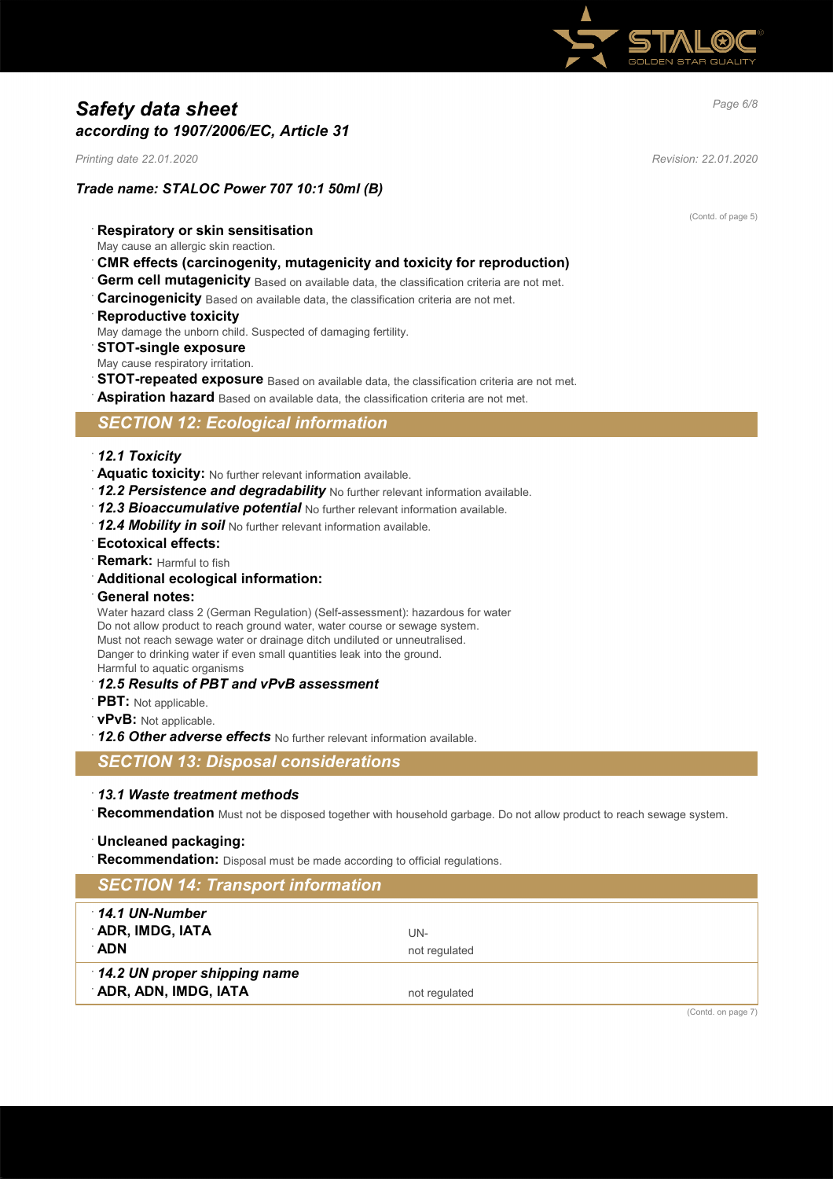

# *Page 6/8 Safety data sheet according to 1907/2006/EC, Article 31*

*Printing date 22.01.2020 Revision: 22.01.2020*

*Trade name: STALOC Power 707 10:1 50ml (B)*

(Contd. of page 5)

- · **Respiratory or skin sensitisation**
- May cause an allergic skin reaction.
- · **CMR effects (carcinogenity, mutagenicity and toxicity for reproduction)**
- Germ cell mutagenicity Based on available data, the classification criteria are not met.
- **Carcinogenicity** Based on available data, the classification criteria are not met.
- **Reproductive toxicity**
- May damage the unborn child. Suspected of damaging fertility.
- · **STOT-single exposure**
- May cause respiratory irritation.
- **STOT-repeated exposure** Based on available data, the classification criteria are not met.
- Aspiration hazard Based on available data, the classification criteria are not met.

## *SECTION 12: Ecological information*

### · *12.1 Toxicity*

- · **Aquatic toxicity:** No further relevant information available.
- · *12.2 Persistence and degradability* No further relevant information available.
- · *12.3 Bioaccumulative potential* No further relevant information available.
- · *12.4 Mobility in soil* No further relevant information available.
- · **Ecotoxical effects:**
- **Remark:** Harmful to fish
- · **Additional ecological information:**
- · **General notes:**

Water hazard class 2 (German Regulation) (Self-assessment): hazardous for water Do not allow product to reach ground water, water course or sewage system. Must not reach sewage water or drainage ditch undiluted or unneutralised. Danger to drinking water if even small quantities leak into the ground. Harmful to aquatic organisms

- · *12.5 Results of PBT and vPvB assessment*
- · **PBT:** Not applicable.
- · **vPvB:** Not applicable.
- · *12.6 Other adverse effects* No further relevant information available.
- *SECTION 13: Disposal considerations*

### · *13.1 Waste treatment methods*

Recommendation Must not be disposed together with household garbage. Do not allow product to reach sewage system.

### · **Uncleaned packaging:**

**Recommendation:** Disposal must be made according to official regulations.

| <b>SECTION 14: Transport information</b>             |                        |
|------------------------------------------------------|------------------------|
| 14.1 UN-Number<br>ADR, IMDG, IATA<br>∴ADN            | UN-<br>not regulated   |
| 14.2 UN proper shipping name<br>ADR, ADN, IMDG, IATA | not regulated          |
|                                                      | $(Contd)$ on page $7)$ |

(Contd. on page 7)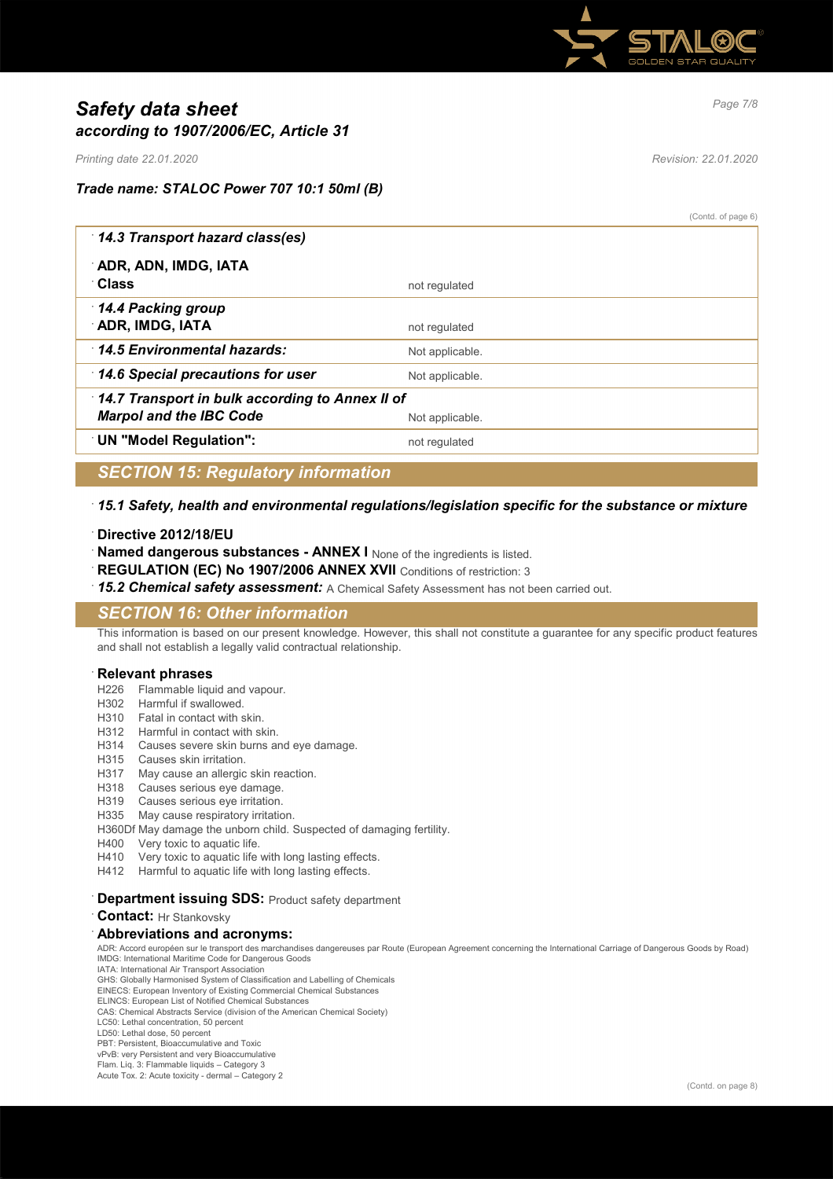

# *Page 7/8 Safety data sheet according to 1907/2006/EC, Article 31*

*Printing date 22.01.2020 Revision: 22.01.2020*

# *Trade name: STALOC Power 707 10:1 50ml (B)*

(Contd. of page 6)

| 14.3 Transport hazard class(es)                 |                 |  |
|-------------------------------------------------|-----------------|--|
| ADR, ADN, IMDG, IATA<br>∴Class                  |                 |  |
|                                                 | not regulated   |  |
| 14.4 Packing group                              |                 |  |
| ADR, IMDG, IATA                                 | not regulated   |  |
| 14.5 Environmental hazards:                     | Not applicable. |  |
| 14.6 Special precautions for user               | Not applicable. |  |
| 14.7 Transport in bulk according to Annex II of |                 |  |
| <b>Marpol and the IBC Code</b>                  | Not applicable. |  |
| <b>UN "Model Regulation":</b>                   | not regulated   |  |
|                                                 |                 |  |

# *SECTION 15: Regulatory information*

## · *15.1 Safety, health and environmental regulations/legislation specific for the substance or mixture*

### · **Directive 2012/18/EU**

- **Named dangerous substances ANNEX I** None of the ingredients is listed.
- REGULATION (EC) No 1907/2006 ANNEX XVII Conditions of restriction: 3
- 15.2 Chemical safety assessment: A Chemical Safety Assessment has not been carried out.

# *SECTION 16: Other information*

This information is based on our present knowledge. However, this shall not constitute a guarantee for any specific product features and shall not establish a legally valid contractual relationship.

### · **Relevant phrases**

- H226 Flammable liquid and vapour.
- H302 Harmful if swallowed.
- H310 Fatal in contact with skin.
- H312 Harmful in contact with skin.
- H314 Causes severe skin burns and eye damage.
- H315 Causes skin irritation.
- H317 May cause an allergic skin reaction.
- H318 Causes serious eye damage.
- H319 Causes serious eye irritation.
- H335 May cause respiratory irritation.
- H360Df May damage the unborn child. Suspected of damaging fertility.
- H400 Very toxic to aquatic life.
- H410 Very toxic to aquatic life with long lasting effects.
- H412 Harmful to aquatic life with long lasting effects.

### · **Department issuing SDS:** Product safety department

#### · **Contact:** Hr Stankovsky

### · **Abbreviations and acronyms:**

ADR: Accord européen sur le transport des marchandises dangereuses par Route (European Agreement concerning the International Carriage of Dangerous Goods by Road) IMDG: International Maritime Code for Dangerous Goods

IATA: International Air Transport Association GHS: Globally Harmonised System of Classification and Labelling of Chemicals

EINECS: European Inventory of Existing Commercial Chemical Substances

ELINCS: European List of Notified Chemical Substances CAS: Chemical Abstracts Service (division of the American Chemical Society)

LC50: Lethal concentration, 50 percent

LD50: Lethal dose, 50 percent

PBT: Persistent, Bioaccumulative and Toxic

vPvB: very Persistent and very Bioaccumulative Flam. Liq. 3: Flammable liquids – Category 3

Acute Tox. 2: Acute toxicity - dermal – Category 2